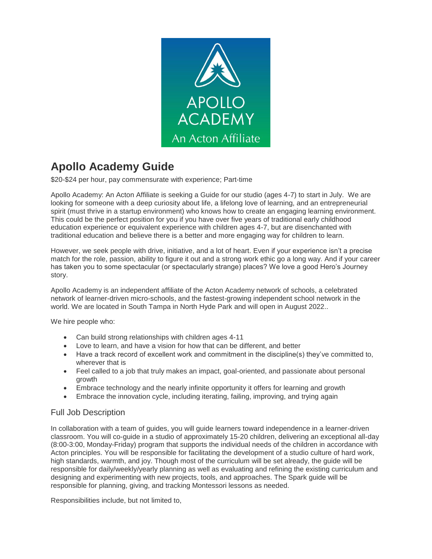

## **Apollo Academy Guide**

\$20-\$24 per hour, pay commensurate with experience; Part-time

Apollo Academy: An Acton Affiliate is seeking a Guide for our studio (ages 4-7) to start in July. We are looking for someone with a deep curiosity about life, a lifelong love of learning, and an entrepreneurial spirit (must thrive in a startup environment) who knows how to create an engaging learning environment. This could be the perfect position for you if you have over five years of traditional early childhood education experience or equivalent experience with children ages 4-7, but are disenchanted with traditional education and believe there is a better and more engaging way for children to learn.

However, we seek people with drive, initiative, and a lot of heart. Even if your experience isn't a precise match for the role, passion, ability to figure it out and a strong work ethic go a long way. And if your career has taken you to some spectacular (or spectacularly strange) places? We love a good Hero's Journey story.

Apollo Academy is an independent affiliate of the Acton Academy network of schools, a celebrated network of learner-driven micro-schools, and the fastest-growing independent school network in the world. We are located in South Tampa in North Hyde Park and will open in August 2022..

We hire people who:

- Can build strong relationships with children ages 4-11
- Love to learn, and have a vision for how that can be different, and better
- Have a track record of excellent work and commitment in the discipline(s) they've committed to, wherever that is
- Feel called to a job that truly makes an impact, goal-oriented, and passionate about personal growth
- Embrace technology and the nearly infinite opportunity it offers for learning and growth
- Embrace the innovation cycle, including iterating, failing, improving, and trying again

## Full Job Description

In collaboration with a team of guides, you will guide learners toward independence in a learner-driven classroom. You will co-guide in a studio of approximately 15-20 children, delivering an exceptional all-day (8:00-3:00, Monday-Friday) program that supports the individual needs of the children in accordance with Acton principles. You will be responsible for facilitating the development of a studio culture of hard work, high standards, warmth, and joy. Though most of the curriculum will be set already, the guide will be responsible for daily/weekly/yearly planning as well as evaluating and refining the existing curriculum and designing and experimenting with new projects, tools, and approaches. The Spark guide will be responsible for planning, giving, and tracking Montessori lessons as needed.

Responsibilities include, but not limited to,